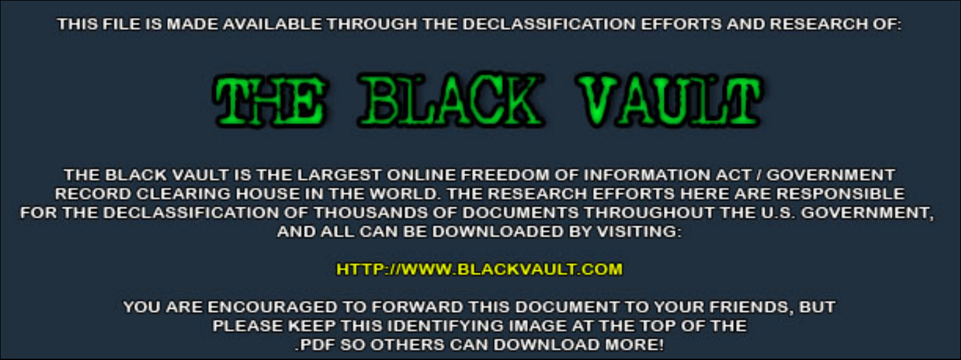THIS FILE IS MADE AVAILABLE THROUGH THE DECLASSIFICATION EFFORTS AND RESEARCH OF:



THE BLACK VAULT IS THE LARGEST ONLINE FREEDOM OF INFORMATION ACT / GOVERNMENT RECORD CLEARING HOUSE IN THE WORLD. THE RESEARCH EFFORTS HERE ARE RESPONSIBLE FOR THE DECLASSIFICATION OF THOUSANDS OF DOCUMENTS THROUGHOUT THE U.S. GOVERNMENT, AND ALL CAN BE DOWNLOADED BY VISITING:

**HTTP://WWW.BLACKVAULT.COM** 

YOU ARE ENCOURAGED TO FORWARD THIS DOCUMENT TO YOUR FRIENDS, BUT PLEASE KEEP THIS IDENTIFYING IMAGE AT THE TOP OF THE PDF SO OTHERS CAN DOWNLOAD MORE!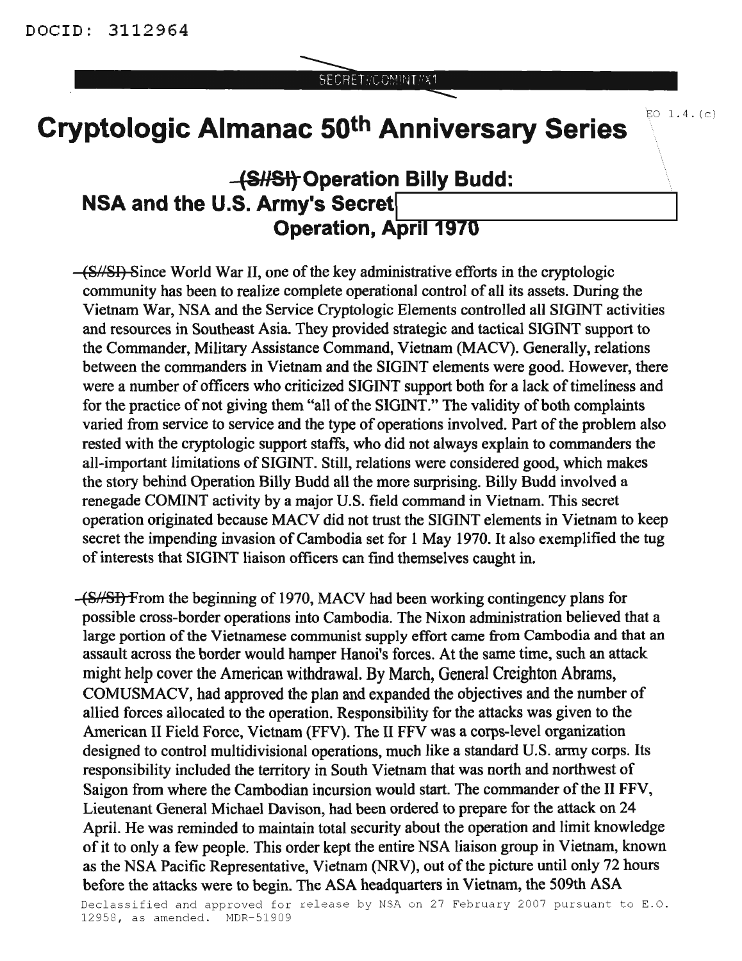SECRET//COMINIT/X1

EO  $1.4. (c)$ 

## **Cryptologic Almanac 50th Anniversary Series**

## **-{S#SftOperation Billy Budd: NSA** and the U.S. Army's Secret **Operation, April 1970**

(S//SI) Since World War II, one of the key administrative efforts in the cryptologic community has been to realize complete operational control of all its assets. During the Vietnam War, NSA and the Service Cryptologic Elements controlled all SIGINT activities and resources in Southeast Asia. They provided strategic and tactical SIGINT support to the Commander, Military Assistance Command, Vietnam (MACV). Generally, relations between the commanders in Vietnam and the SIGINT elements were good. However, there were a number of officers who criticized SIGINT support both for a lack of timeliness and for the practice of not giving them "all of the SIGINT." The validity of both complaints varied from service to service and the type of operations involved. Part of the problem also rested with the cryptologic support staffs, who did not always explain to commanders the all-important limitations of SIGINT. Still, relations were considered good, which makes the story behind Operation Billy Budd all the more surprising. Billy Budd involved a renegade COMINT activity by a major U.S. field command in Vietnam. This secret operation originated because MACV did not trust the SIGINT elements in Vietnam to keep secret the impending invasion of Cambodia set for 1 May 1970. It also exemplified the tug of interests that SIGINT liaison officers can find themselves caught in.

(8//81) From the beginning of 1970, MACV had been working contingency plans for possible cross-border operations into Cambodia. The Nixon administration believed that a large portion of the Vietnamese communist supply effort came from Cambodia and that an assault across the border would hamper Hanoi's forces. At the same time, such an attack might help cover the American withdrawal. By March, General Creighton Abrams, COMUSMACV, had approved the plan and expanded the objectives and the number of allied forces allocated to the operation. Responsibility for the attacks was given to the American II Field Force, Vietnam (FFV). The II FFV was a corps-level organization designed to control multidivisional operations, much like a standard U.S. army corps. Its responsibility included the territory in South Vietnam that was north and northwest of Saigon from where the Cambodian incursion would start. The commander of the II FFV, Lieutenant General Michael Davison, had been ordered to prepare for the attack on 24 April. He was reminded to maintain total security about the operation and limit knowledge of it to only a few people. This order kept the entire NSA liaison group in Vietnam, known as the NSA Pacific Representative, Vietnam (NRV), out of the picture until only 72 hours before the attacks were to begin. The ASA headquarters in Vietnam, the 509th ASA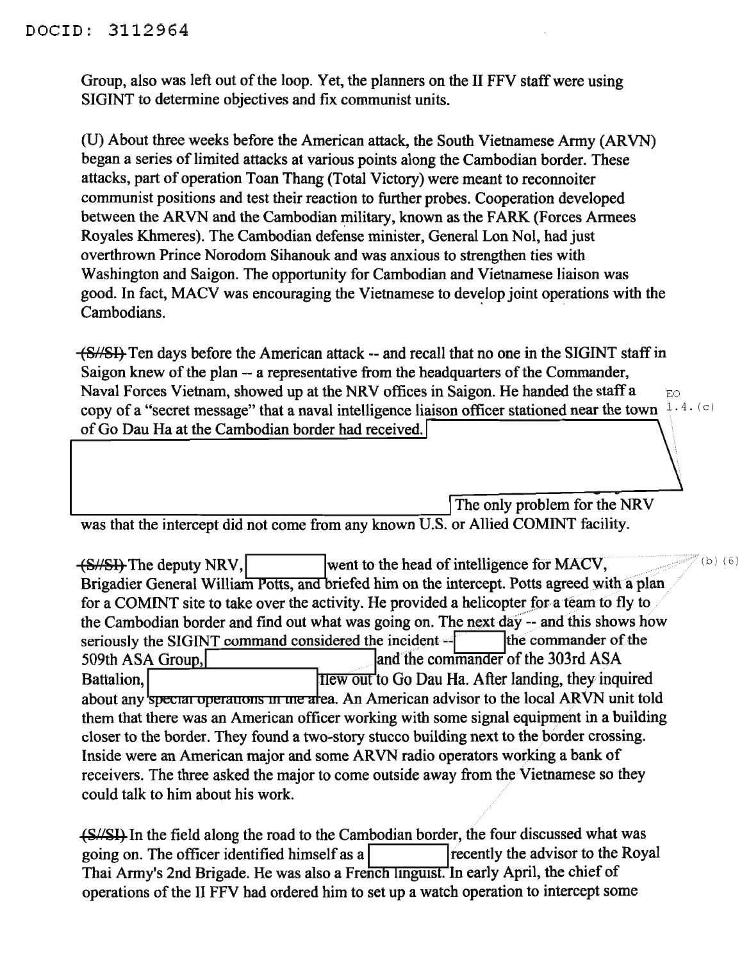## DOCID: 3112964

Group, also was left out of the loop. Yet, the planners on the II FFV staff were using SIGINT to determine objectives and fix communist units.

(U) About three weeks before the American attack, the South Vietnamese Army (ARYN) began a series of limited attacks at various points along the Cambodian border. These attacks, part of operation Toan Thang (Total Victory) were meant to reconnoiter communist positions and test their reaction to further probes. Cooperation developed between the ARVN and the Cambodian military, known as the FARK (Forces Armees Royales Khmeres). The Cambodian defense minister, General Lon Nol, had just overthrown Prince Norodom Sihanouk and was anxious to strengthen ties with Washington and Saigon. The opportunity for Cambodian and Vietnamese liaison was good. In fact, MACV was encouraging the Vietnamese to develop joint operations with the Cambodians.

(8//81) Ten days before the American attack -- and recall that no one in the SIGINT staffin Saigon knew of the plan -- a representative from the headquarters of the Commander, Naval Forces Vietnam, showed up at the NRV offices in Saigon. He handed the staff a EO copy of a "secret message" that a naval intelligence liaison officer stationed near the town  $[1, 4, (c)]$ of Go Dau Ha at the Cambodian border had received.

The only problem for the NRV was that the intercept did not come from any known U.S. or Allied COMINT facility.

 $(b)$  (6)

(S//SI) The deputy NRV, went to the head of intelligence for MACV, Brigadier General William Potts, and briefed him on the intercept. Potts agreed with a plan for a COMINT site to take over the activity. He provided a helicopter for a team to fly to the Cambodian border and find out what was going on. The next day -- and this shows how seriously the SIGINT command considered the incident  $-\frac{9}{5}$  the commander of the 509th ASA Group, and the commander of the 303rd ASA Battalion, Battalion, I have been also to Go Dau Ha. After landing, they inquired about any special operations in the area. An American advisor to the local ARVN unit told them that there was an American officer working with some signal equipment in a building closer to the border. They found a two-story stucco building next to the border crossing. Inside were an American major and some ARVN radio operators working a bank of receivers. The three asked the major to come outside away from the Vietnamese so they could talk to him about his work.

(S//SI) In the field along the road to the Cambodian border, the four discussed what was going on. The officer identified himself as a **I Islamin** I recently the advisor to the Royal Thai Army's 2nd Brigade. He was also a French linguist. In early April, the chief of operations of the II FFV had ordered him to set up a watch operation to intercept some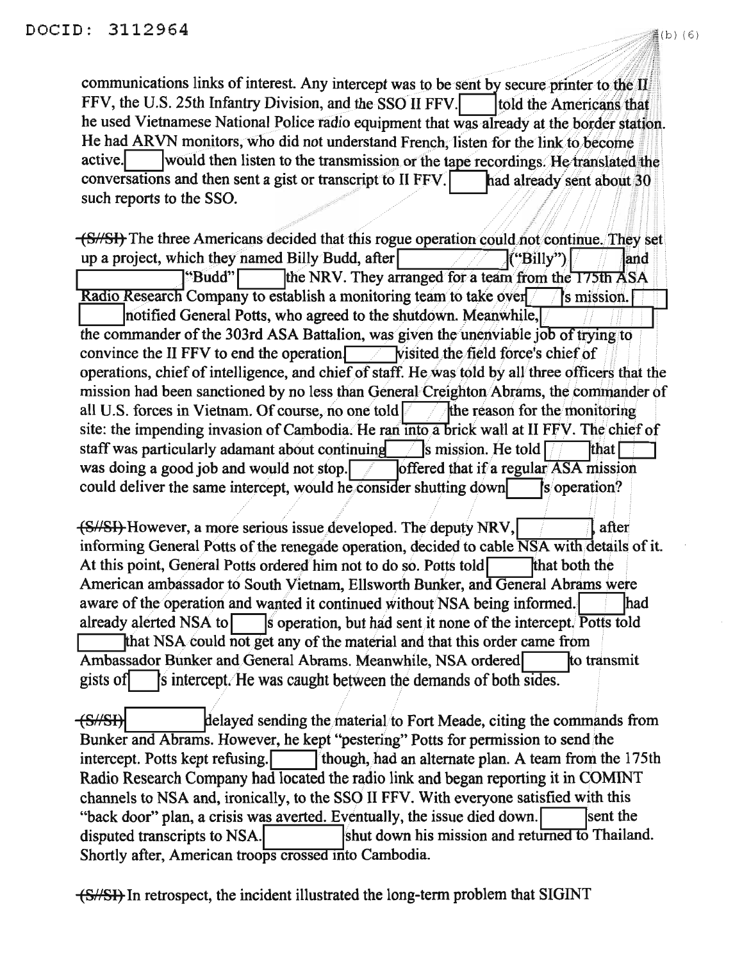communications links of interest. Any intercept was to be sent by secure printer to the II FFV, the U.S. 25th Infantry Division, and the SSO II FFV. told the Americans that he used Vietnamese National Police radio equipment that was already at the border station. He had ARVN monitors, who did not understand French, listen for the link to become active. would then listen to the transmission or the tape recordings. He translated the conversations and then sent a gist or transcript to II FFV. had already sent about 30 such reports to the SSO.

(S//SI) The three Americans decided that this rogue operation could not continue. They set up a project, which they named Billy Budd, after  $\mathsf{("Billy")}$ and the NRV. They arranged for a team from the 175th ASA "Budd"| Radio Research Company to establish a monitoring team to take over **S** mission. notified General Potts, who agreed to the shutdown. Meanwhile, the commander of the 303rd ASA Battalion, was given the unenviable job of trying to convince the II FFV to end the operation **Visited the field force's chief of** operations, chief of intelligence, and chief of staff. He was told by all three officers that the mission had been sanctioned by no less than General Creighton Abrams, the commander of all U.S. forces in Vietnam. Of course, no one told the reason for the monitoring site: the impending invasion of Cambodia. He ran into a brick wall at II FFV. The chief of  $\sqrt{\frac{1}{5}}$  mission. He told  $\sqrt{\frac{1}{5}}$ staff was particularly adamant about continuing **that** was doing a good job and would not stop. offered that if a regular  $\overline{ASA}$  mission could deliver the same intercept, would he consider shutting down s operation?

(S/SI) However, a more serious issue developed. The deputy NRV, after informing General Potts of the renegade operation, decided to cable NSA with details of it. At this point, General Potts ordered him not to do so. Potts told that both the American ambassador to South Vietnam, Ellsworth Bunker, and General Abrams were aware of the operation and wanted it continued without NSA being informed. **lhad** already alerted NSA to s operation, but had sent it none of the intercept. Potts told that NSA could not get any of the material and that this order came from to transmit Ambassador Bunker and General Abrams. Meanwhile, NSA ordered s intercept. He was caught between the demands of both sides. gists of

 $\leftarrow$  (S//SI) delayed sending the material to Fort Meade, citing the commands from Bunker and Abrams. However, he kept "pestering" Potts for permission to send the intercept. Potts kept refusing. though, had an alternate plan. A team from the 175th Radio Research Company had located the radio link and began reporting it in COMINT channels to NSA and, ironically, to the SSO II FFV. With everyone satisfied with this "back door" plan, a crisis was averted. Eventually, the issue died down. sent the shut down his mission and returned to Thailand. disputed transcripts to NSA. Shortly after, American troops crossed into Cambodia.

(S//SI) In retrospect, the incident illustrated the long-term problem that SIGINT